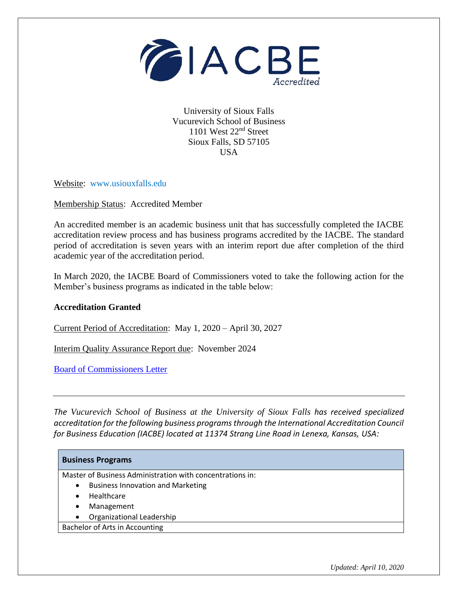

University of Sioux Falls Vucurevich School of Business 1101 West 22nd Street Sioux Falls, SD 57105 USA

Website: www.usiouxfalls.edu

Membership Status: Accredited Member

An accredited member is an academic business unit that has successfully completed the IACBE accreditation review process and has business programs accredited by the IACBE. The standard period of accreditation is seven years with an interim report due after completion of the third academic year of the accreditation period.

In March 2020, the IACBE Board of Commissioners voted to take the following action for the Member's business programs as indicated in the table below:

## **Accreditation Granted**

Current Period of Accreditation: May 1, 2020 – April 30, 2027

Interim Quality Assurance Report due: November 2024

[Board of Commissioners Letter](https://iacbe.org/memberpdf/BOCDecisionLetterUniversityofSiouxFallsApril2020Final.pdf)

*The Vucurevich School of Business at the University of Sioux Falls has received specialized accreditation for the following business programs through the International Accreditation Council for Business Education (IACBE) located at 11374 Strang Line Road in Lenexa, Kansas, USA:*

| <b>Business Programs</b>                                  |
|-----------------------------------------------------------|
| Master of Business Administration with concentrations in: |
| <b>Business Innovation and Marketing</b><br>$\bullet$     |
| Healthcare<br>$\bullet$                                   |
| Management<br>٠                                           |
| Organizational Leadership<br>٠                            |
| Bachelor of Arts in Accounting                            |
|                                                           |